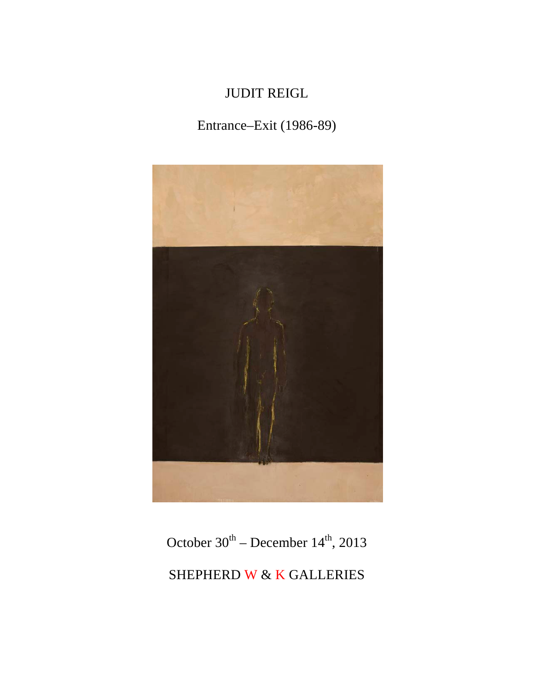# JUDIT REIGL

# Entrance–Exit (1986-89)



October  $30^{th}$  – December  $14^{th}$ , 2013 SHEPHERD W & K GALLERIES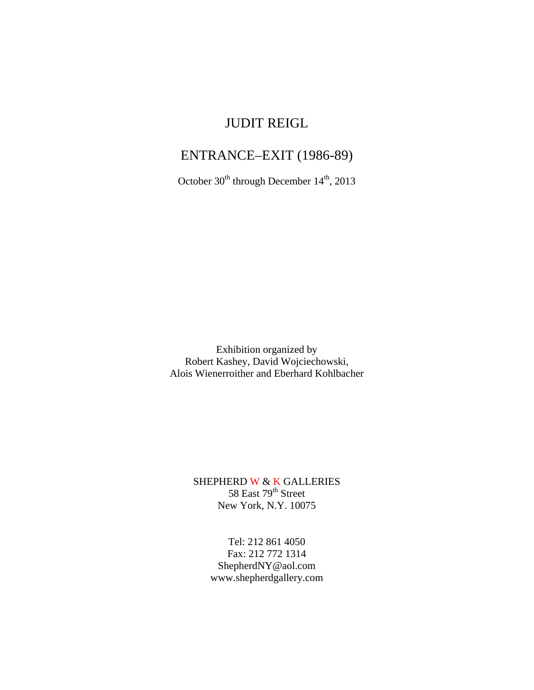### JUDIT REIGL

# ENTRANCE–EXIT (1986-89)

October 30<sup>th</sup> through December 14<sup>th</sup>, 2013

Exhibition organized by Robert Kashey, David Wojciechowski, Alois Wienerroither and Eberhard Kohlbacher

> SHEPHERD W & K GALLERIES  $58$  East  $79<sup>th</sup>$  Street New York, N.Y. 10075

> > Tel: 212 861 4050 Fax: 212 772 1314 ShepherdNY@aol.com www.shepherdgallery.com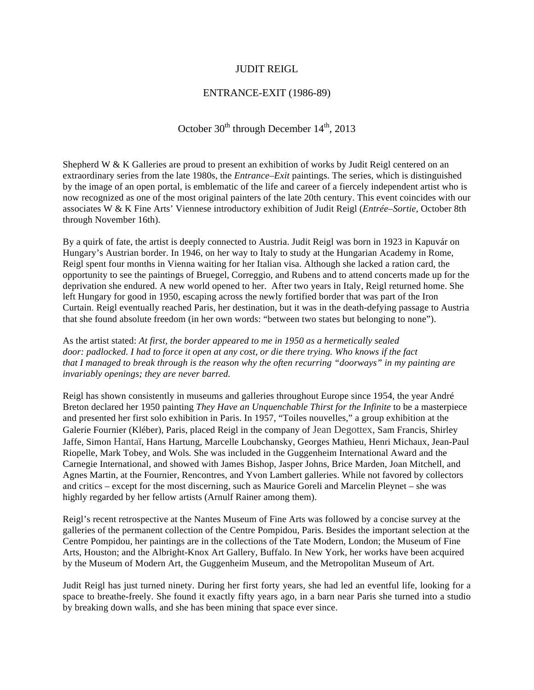#### JUDIT REIGL

#### ENTRANCE-EXIT (1986-89)

October  $30<sup>th</sup>$  through December  $14<sup>th</sup>$ , 2013

Shepherd W & K Galleries are proud to present an exhibition of works by Judit Reigl centered on an extraordinary series from the late 1980s, the *Entrance–Exit* paintings. The series, which is distinguished by the image of an open portal, is emblematic of the life and career of a fiercely independent artist who is now recognized as one of the most original painters of the late 20th century. This event coincides with our associates W & K Fine Arts' Viennese introductory exhibition of Judit Reigl (*Entrée–Sortie,* October 8th through November 16th).

By a quirk of fate, the artist is deeply connected to Austria. Judit Reigl was born in 1923 in Kapuvár on Hungary's Austrian border. In 1946, on her way to Italy to study at the Hungarian Academy in Rome, Reigl spent four months in Vienna waiting for her Italian visa. Although she lacked a ration card, the opportunity to see the paintings of Bruegel, Correggio, and Rubens and to attend concerts made up for the deprivation she endured. A new world opened to her. After two years in Italy, Reigl returned home. She left Hungary for good in 1950, escaping across the newly fortified border that was part of the Iron Curtain. Reigl eventually reached Paris, her destination, but it was in the death-defying passage to Austria that she found absolute freedom (in her own words: "between two states but belonging to none").

As the artist stated: *At first, the border appeared to me in 1950 as a hermetically sealed door: padlocked. I had to force it open at any cost, or die there trying. Who knows if the fact that I managed to break through is the reason why the often recurring "doorways" in my painting are invariably openings; they are never barred.*

Reigl has shown consistently in museums and galleries throughout Europe since 1954, the year André Breton declared her 1950 painting *They Have an Unquenchable Thirst for the Infinite* to be a masterpiece and presented her first solo exhibition in Paris. In 1957, "Toiles nouvelles," a group exhibition at the Galerie Fournier (Kléber), Paris, placed Reigl in the company of Jean Degottex, Sam Francis, Shirley Jaffe, Simon Hantaï, Hans Hartung, Marcelle Loubchansky, Georges Mathieu, Henri Michaux, Jean-Paul Riopelle, Mark Tobey, and Wols*.* She was included in the Guggenheim International Award and the Carnegie International, and showed with James Bishop, Jasper Johns, Brice Marden, Joan Mitchell, and Agnes Martin, at the Fournier, Rencontres, and Yvon Lambert galleries. While not favored by collectors and critics – except for the most discerning, such as Maurice Goreli and Marcelin Pleynet – she was highly regarded by her fellow artists (Arnulf Rainer among them).

Reigl's recent retrospective at the Nantes Museum of Fine Arts was followed by a concise survey at the galleries of the permanent collection of the Centre Pompidou, Paris. Besides the important selection at the Centre Pompidou, her paintings are in the collections of the Tate Modern, London; the Museum of Fine Arts, Houston; and the Albright-Knox Art Gallery, Buffalo. In New York, her works have been acquired by the Museum of Modern Art, the Guggenheim Museum, and the Metropolitan Museum of Art.

Judit Reigl has just turned ninety. During her first forty years, she had led an eventful life, looking for a space to breathe-freely. She found it exactly fifty years ago, in a barn near Paris she turned into a studio by breaking down walls, and she has been mining that space ever since.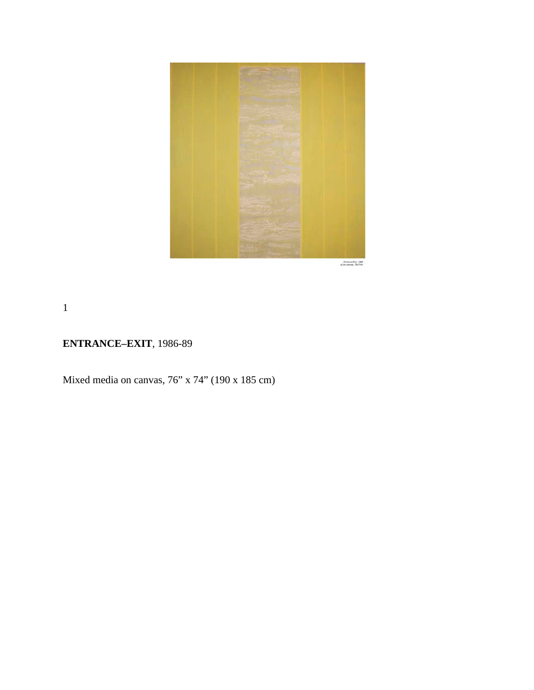

 $\begin{array}{c} . \text{ for a root of } 1988 \\ \text{of or } \text{cavons}, \, 76674 \text{ in } \end{array}$ 

1

### **ENTRANCE–EXIT**, 1986-89

Mixed media on canvas, 76" x 74" (190 x 185 cm)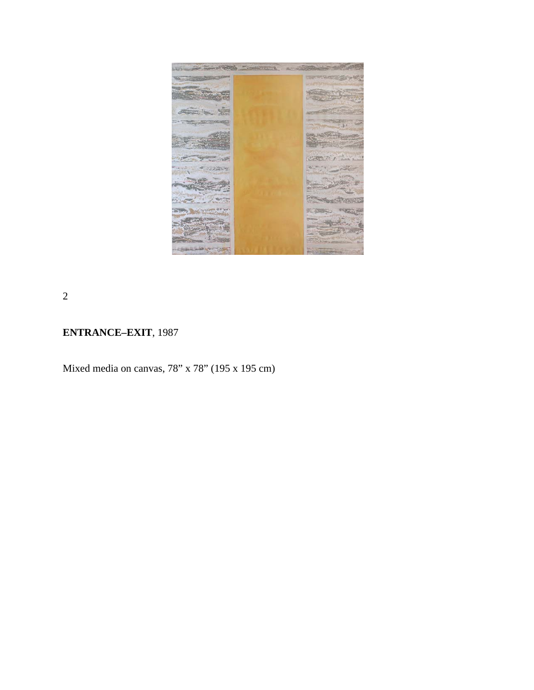

2

# **ENTRANCE–EXIT**, 1987

Mixed media on canvas, 78" x 78" (195 x 195 cm)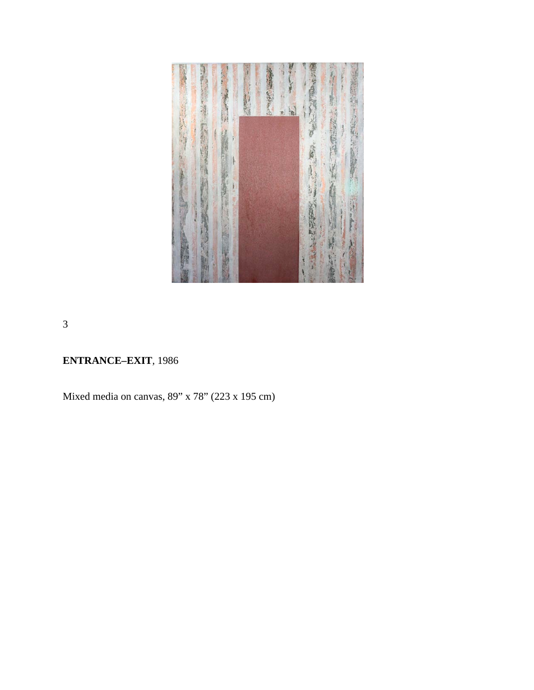

3

# **ENTRANCE–EXIT***,* 1986

Mixed media on canvas, 89" x 78" (223 x 195 cm)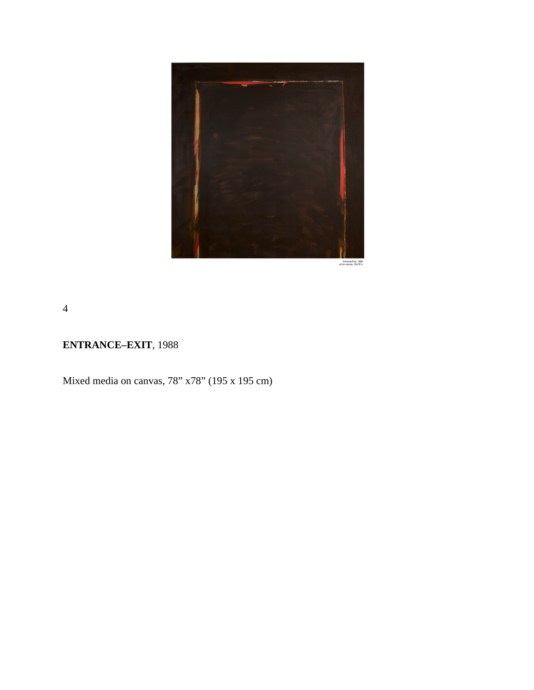

Entrance/Exit, 1988<br>of on censes, 78x78 in

4

### **ENTRANCE–EXIT**, 1988

Mixed media on canvas, 78" x78" (195 x 195 cm)